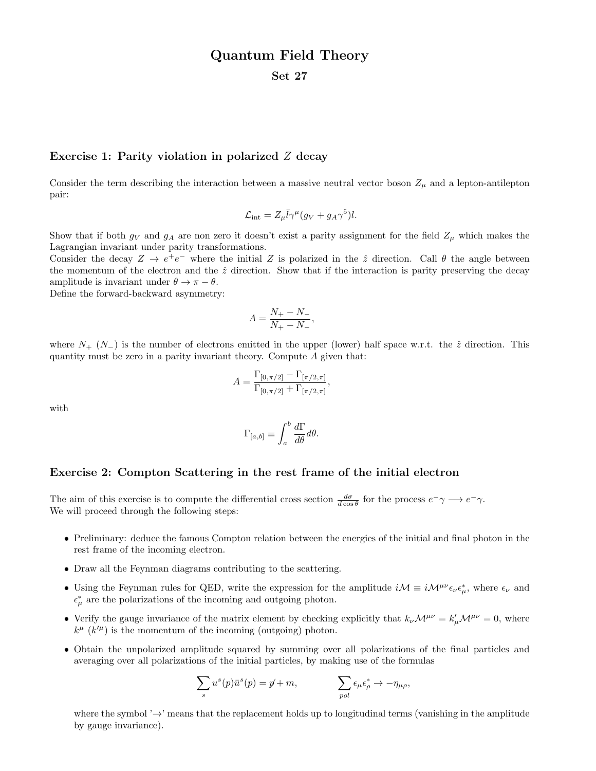## Quantum Field Theory

Set 27

## Exercise 1: Parity violation in polarized Z decay

Consider the term describing the interaction between a massive neutral vector boson  $Z_{\mu}$  and a lepton-antilepton pair:

$$
\mathcal{L}_{\text{int}} = Z_{\mu} \bar{l} \gamma^{\mu} (g_V + g_A \gamma^5) l.
$$

Show that if both  $g_V$  and  $g_A$  are non zero it doesn't exist a parity assignment for the field  $Z_\mu$  which makes the Lagrangian invariant under parity transformations.

Consider the decay  $Z \to e^+e^-$  where the initial Z is polarized in the  $\hat{z}$  direction. Call  $\theta$  the angle between the momentum of the electron and the  $\hat{z}$  direction. Show that if the interaction is parity preserving the decay amplitude is invariant under  $\theta \to \pi - \theta$ .

Define the forward-backward asymmetry:

$$
A = \frac{N_{+} - N_{-}}{N_{+} - N_{-}},
$$

where  $N_{+}$  ( $N_{-}$ ) is the number of electrons emitted in the upper (lower) half space w.r.t. the  $\hat{z}$  direction. This quantity must be zero in a parity invariant theory. Compute  $A$  given that:

$$
A = \frac{\Gamma_{[0,\pi/2]} - \Gamma_{[\pi/2,\pi]}}{\Gamma_{[0,\pi/2]} + \Gamma_{[\pi/2,\pi]}},
$$

with

$$
\Gamma_{[a,b]} \equiv \int_a^b \frac{d\Gamma}{d\theta} d\theta.
$$

## Exercise 2: Compton Scattering in the rest frame of the initial electron

The aim of this exercise is to compute the differential cross section  $\frac{d\sigma}{d\cos\theta}$  for the process  $e^- \gamma \longrightarrow e^- \gamma$ . We will proceed through the following steps:

- Preliminary: deduce the famous Compton relation between the energies of the initial and final photon in the rest frame of the incoming electron.
- Draw all the Feynman diagrams contributing to the scattering.
- Using the Feynman rules for QED, write the expression for the amplitude  $i\mathcal{M} \equiv i\mathcal{M}^{\mu\nu}\epsilon_{\nu}\epsilon_{\mu}^{*}$ , where  $\epsilon_{\nu}$  and  $\epsilon^*_{\mu}$  are the polarizations of the incoming and outgoing photon.
- Verify the gauge invariance of the matrix element by checking explicitly that  $k_{\nu}M^{\mu\nu} = k'_{\mu}M^{\mu\nu} = 0$ , where  $k^{\mu}$  ( $k^{\prime\mu}$ ) is the momentum of the incoming (outgoing) photon.
- Obtain the unpolarized amplitude squared by summing over all polarizations of the final particles and averaging over all polarizations of the initial particles, by making use of the formulas

$$
\sum_{s} u^{s}(p)\bar{u}^{s}(p) = p + m, \qquad \sum_{pol} \epsilon_{\mu} \epsilon_{\rho}^{*} \to -\eta_{\mu\rho},
$$

where the symbol  $\rightarrow$  means that the replacement holds up to longitudinal terms (vanishing in the amplitude by gauge invariance).